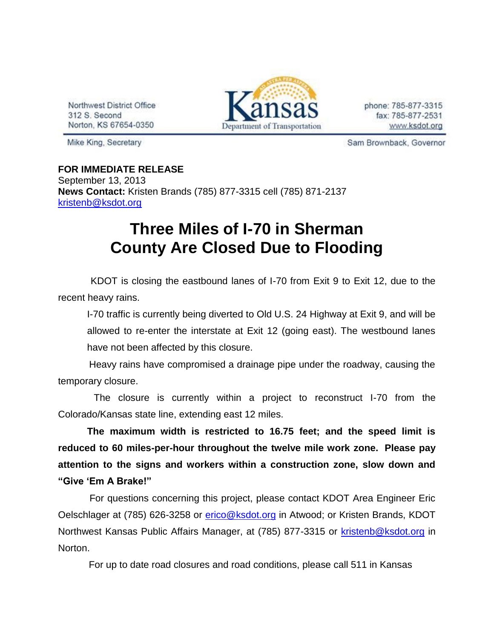Northwest District Office 312 S. Second Norton, KS 67654-0350



phone: 785-877-3315 fax: 785-877-2531 www.ksdot.org

Mike King, Secretary

Sam Brownback, Governor

**FOR IMMEDIATE RELEASE** September 13, 2013 **News Contact:** Kristen Brands (785) 877-3315 cell (785) 871-2137 [kristenb@ksdot.org](mailto:kristenb@ksdot.org)

## **Three Miles of I-70 in Sherman County Are Closed Due to Flooding**

 KDOT is closing the eastbound lanes of I-70 from Exit 9 to Exit 12, due to the recent heavy rains.

I-70 traffic is currently being diverted to Old U.S. 24 Highway at Exit 9, and will be allowed to re-enter the interstate at Exit 12 (going east). The westbound lanes have not been affected by this closure.

 Heavy rains have compromised a drainage pipe under the roadway, causing the temporary closure.

 The closure is currently within a project to reconstruct I-70 from the Colorado/Kansas state line, extending east 12 miles.

**The maximum width is restricted to 16.75 feet; and the speed limit is reduced to 60 miles-per-hour throughout the twelve mile work zone. Please pay attention to the signs and workers within a construction zone, slow down and "Give 'Em A Brake!"**

 For questions concerning this project, please contact KDOT Area Engineer Eric Oelschlager at (785) 626-3258 or [erico@ksdot.org](mailto:erico@ksdot.org) in Atwood; or Kristen Brands, KDOT Northwest Kansas Public Affairs Manager, at (785) 877-3315 or [kristenb@ksdot.org](mailto:kristenb@ksdot.org) in Norton.

For up to date road closures and road conditions, please call 511 in Kansas